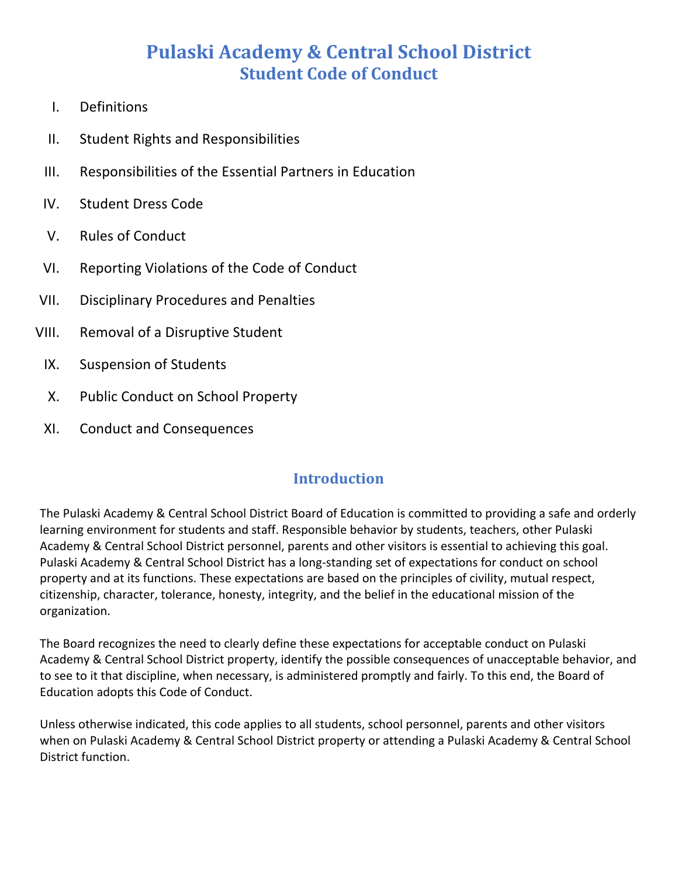# **Pulaski Academy & Central School District Student Code of Conduct**

- I. Definitions
- II. Student Rights and Responsibilities
- III. Responsibilities of the Essential Partners in Education
- IV. Student Dress Code
- V. Rules of Conduct
- VI. Reporting Violations of the Code of Conduct
- VII. Disciplinary Procedures and Penalties
- VIII. Removal of a Disruptive Student
	- IX. Suspension of Students
	- X. Public Conduct on School Property
	- XI. Conduct and Consequences

## **Introduction**

The Pulaski Academy & Central School District Board of Education is committed to providing a safe and orderly learning environment for students and staff. Responsible behavior by students, teachers, other Pulaski Academy & Central School District personnel, parents and other visitors is essential to achieving this goal. Pulaski Academy & Central School District has a long-standing set of expectations for conduct on school property and at its functions. These expectations are based on the principles of civility, mutual respect, citizenship, character, tolerance, honesty, integrity, and the belief in the educational mission of the organization.

The Board recognizes the need to clearly define these expectations for acceptable conduct on Pulaski Academy & Central School District property, identify the possible consequences of unacceptable behavior, and to see to it that discipline, when necessary, is administered promptly and fairly. To this end, the Board of Education adopts this Code of Conduct.

Unless otherwise indicated, this code applies to all students, school personnel, parents and other visitors when on Pulaski Academy & Central School District property or attending a Pulaski Academy & Central School District function.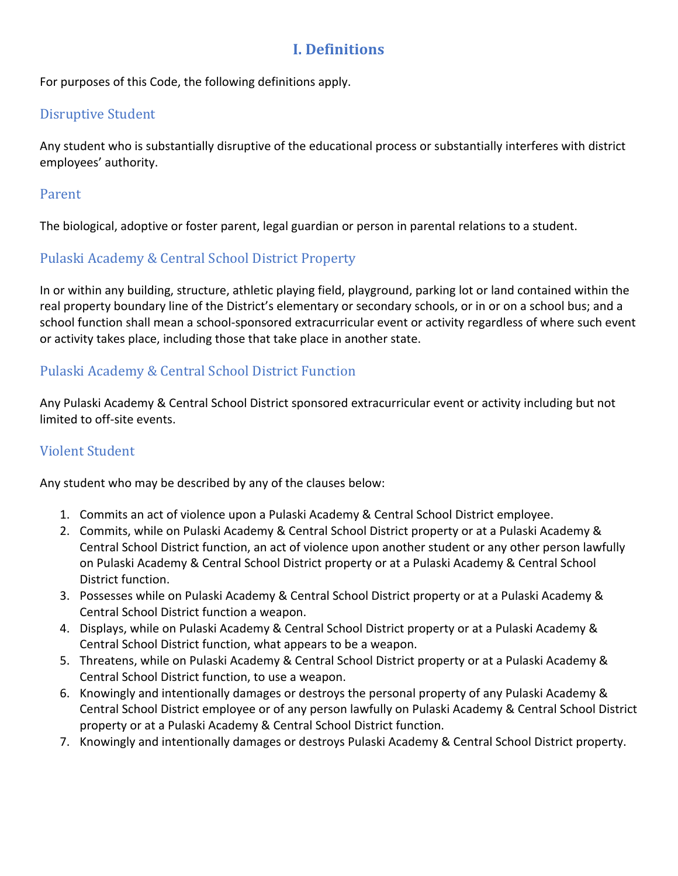## **I. Definitions**

For purposes of this Code, the following definitions apply.

#### Disruptive Student

Any student who is substantially disruptive of the educational process or substantially interferes with district employees' authority.

#### Parent

The biological, adoptive or foster parent, legal guardian or person in parental relations to a student.

### Pulaski Academy & Central School District Property

In or within any building, structure, athletic playing field, playground, parking lot or land contained within the real property boundary line of the District's elementary or secondary schools, or in or on a school bus; and a school function shall mean a school-sponsored extracurricular event or activity regardless of where such event or activity takes place, including those that take place in another state.

## Pulaski Academy & Central School District Function

Any Pulaski Academy & Central School District sponsored extracurricular event or activity including but not limited to off-site events.

### Violent Student

Any student who may be described by any of the clauses below:

- 1. Commits an act of violence upon a Pulaski Academy & Central School District employee.
- 2. Commits, while on Pulaski Academy & Central School District property or at a Pulaski Academy & Central School District function, an act of violence upon another student or any other person lawfully on Pulaski Academy & Central School District property or at a Pulaski Academy & Central School District function.
- 3. Possesses while on Pulaski Academy & Central School District property or at a Pulaski Academy & Central School District function a weapon.
- 4. Displays, while on Pulaski Academy & Central School District property or at a Pulaski Academy & Central School District function, what appears to be a weapon.
- 5. Threatens, while on Pulaski Academy & Central School District property or at a Pulaski Academy & Central School District function, to use a weapon.
- 6. Knowingly and intentionally damages or destroys the personal property of any Pulaski Academy & Central School District employee or of any person lawfully on Pulaski Academy & Central School District property or at a Pulaski Academy & Central School District function.
- 7. Knowingly and intentionally damages or destroys Pulaski Academy & Central School District property.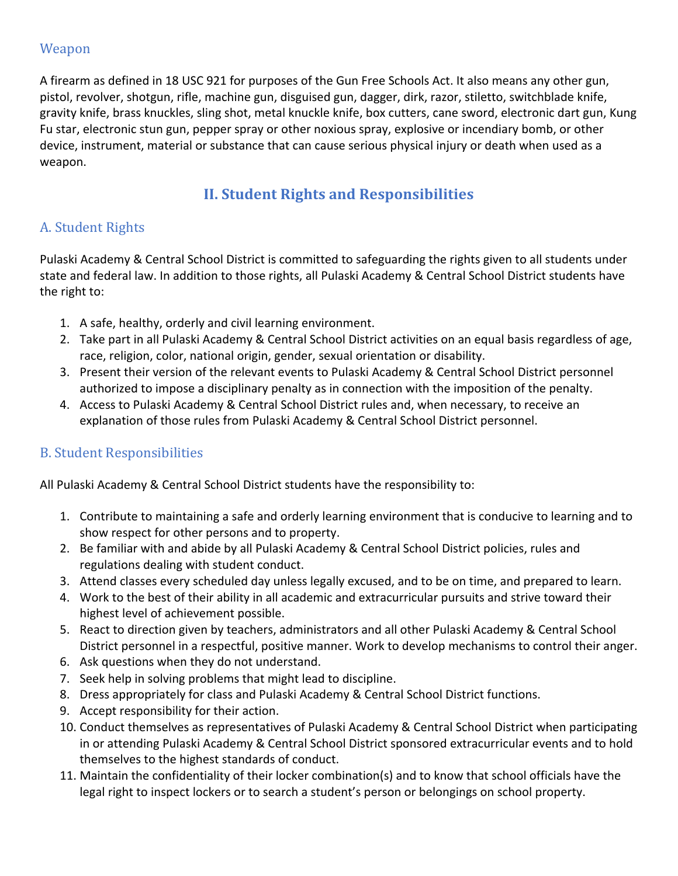#### Weapon

A firearm as defined in 18 USC 921 for purposes of the Gun Free Schools Act. It also means any other gun, pistol, revolver, shotgun, rifle, machine gun, disguised gun, dagger, dirk, razor, stiletto, switchblade knife, gravity knife, brass knuckles, sling shot, metal knuckle knife, box cutters, cane sword, electronic dart gun, Kung Fu star, electronic stun gun, pepper spray or other noxious spray, explosive or incendiary bomb, or other device, instrument, material or substance that can cause serious physical injury or death when used as a weapon.

## **II. Student Rights and Responsibilities**

## A. Student Rights

Pulaski Academy & Central School District is committed to safeguarding the rights given to all students under state and federal law. In addition to those rights, all Pulaski Academy & Central School District students have the right to:

- 1. A safe, healthy, orderly and civil learning environment.
- 2. Take part in all Pulaski Academy & Central School District activities on an equal basis regardless of age, race, religion, color, national origin, gender, sexual orientation or disability.
- 3. Present their version of the relevant events to Pulaski Academy & Central School District personnel authorized to impose a disciplinary penalty as in connection with the imposition of the penalty.
- 4. Access to Pulaski Academy & Central School District rules and, when necessary, to receive an explanation of those rules from Pulaski Academy & Central School District personnel.

## **B.** Student Responsibilities

All Pulaski Academy & Central School District students have the responsibility to:

- 1. Contribute to maintaining a safe and orderly learning environment that is conducive to learning and to show respect for other persons and to property.
- 2. Be familiar with and abide by all Pulaski Academy & Central School District policies, rules and regulations dealing with student conduct.
- 3. Attend classes every scheduled day unless legally excused, and to be on time, and prepared to learn.
- 4. Work to the best of their ability in all academic and extracurricular pursuits and strive toward their highest level of achievement possible.
- 5. React to direction given by teachers, administrators and all other Pulaski Academy & Central School District personnel in a respectful, positive manner. Work to develop mechanisms to control their anger.
- 6. Ask questions when they do not understand.
- 7. Seek help in solving problems that might lead to discipline.
- 8. Dress appropriately for class and Pulaski Academy & Central School District functions.
- 9. Accept responsibility for their action.
- 10. Conduct themselves as representatives of Pulaski Academy & Central School District when participating in or attending Pulaski Academy & Central School District sponsored extracurricular events and to hold themselves to the highest standards of conduct.
- 11. Maintain the confidentiality of their locker combination(s) and to know that school officials have the legal right to inspect lockers or to search a student's person or belongings on school property.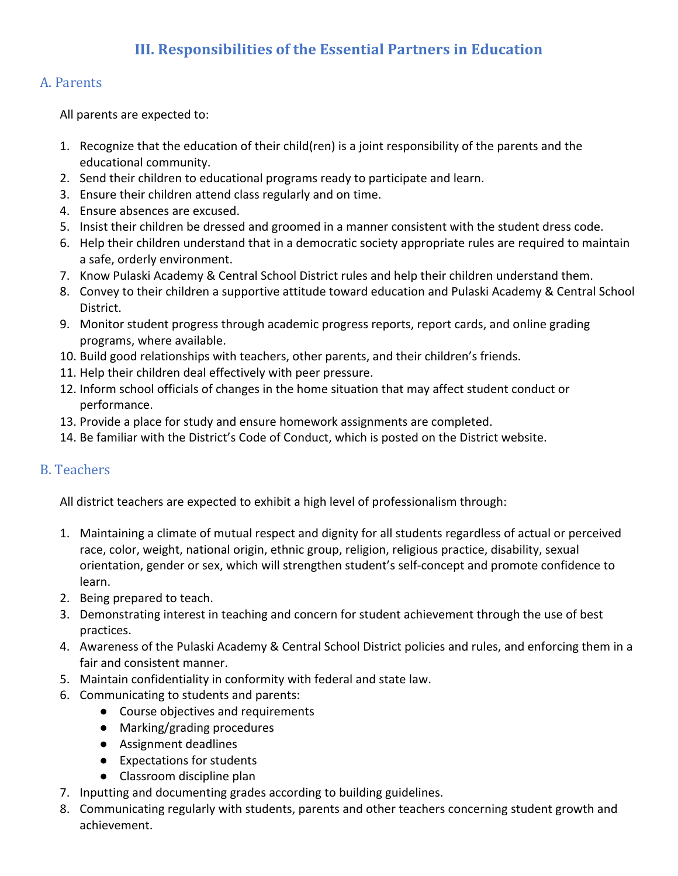## **III. Responsibilities of the Essential Partners in Education**

### A. Parents

All parents are expected to:

- 1. Recognize that the education of their child(ren) is a joint responsibility of the parents and the educational community.
- 2. Send their children to educational programs ready to participate and learn.
- 3. Ensure their children attend class regularly and on time.
- 4. Ensure absences are excused.
- 5. Insist their children be dressed and groomed in a manner consistent with the student dress code.
- 6. Help their children understand that in a democratic society appropriate rules are required to maintain a safe, orderly environment.
- 7. Know Pulaski Academy & Central School District rules and help their children understand them.
- 8. Convey to their children a supportive attitude toward education and Pulaski Academy & Central School District.
- 9. Monitor student progress through academic progress reports, report cards, and online grading programs, where available.
- 10. Build good relationships with teachers, other parents, and their children's friends.
- 11. Help their children deal effectively with peer pressure.
- 12. Inform school officials of changes in the home situation that may affect student conduct or performance.
- 13. Provide a place for study and ensure homework assignments are completed.
- 14. Be familiar with the District's Code of Conduct, which is posted on the District website.

## B. Teachers

All district teachers are expected to exhibit a high level of professionalism through:

- 1. Maintaining a climate of mutual respect and dignity for all students regardless of actual or perceived race, color, weight, national origin, ethnic group, religion, religious practice, disability, sexual orientation, gender or sex, which will strengthen student's self-concept and promote confidence to learn.
- 2. Being prepared to teach.
- 3. Demonstrating interest in teaching and concern for student achievement through the use of best practices.
- 4. Awareness of the Pulaski Academy & Central School District policies and rules, and enforcing them in a fair and consistent manner.
- 5. Maintain confidentiality in conformity with federal and state law.
- 6. Communicating to students and parents:
	- Course objectives and requirements
	- Marking/grading procedures
	- Assignment deadlines
	- Expectations for students
	- Classroom discipline plan
- 7. Inputting and documenting grades according to building guidelines.
- 8. Communicating regularly with students, parents and other teachers concerning student growth and achievement.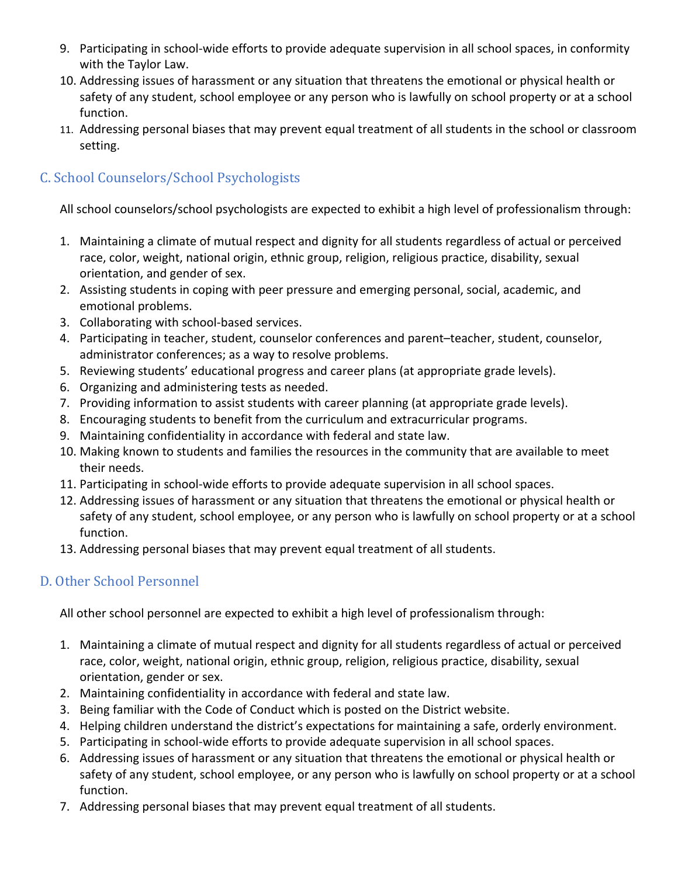- 9. Participating in school-wide efforts to provide adequate supervision in all school spaces, in conformity with the Taylor Law.
- 10. Addressing issues of harassment or any situation that threatens the emotional or physical health or safety of any student, school employee or any person who is lawfully on school property or at a school function.
- 11. Addressing personal biases that may prevent equal treatment of all students in the school or classroom setting.

## C. School Counselors/School Psychologists

All school counselors/school psychologists are expected to exhibit a high level of professionalism through:

- 1. Maintaining a climate of mutual respect and dignity for all students regardless of actual or perceived race, color, weight, national origin, ethnic group, religion, religious practice, disability, sexual orientation, and gender of sex.
- 2. Assisting students in coping with peer pressure and emerging personal, social, academic, and emotional problems.
- 3. Collaborating with school-based services.
- 4. Participating in teacher, student, counselor conferences and parent–teacher, student, counselor, administrator conferences; as a way to resolve problems.
- 5. Reviewing students' educational progress and career plans (at appropriate grade levels).
- 6. Organizing and administering tests as needed.
- 7. Providing information to assist students with career planning (at appropriate grade levels).
- 8. Encouraging students to benefit from the curriculum and extracurricular programs.
- 9. Maintaining confidentiality in accordance with federal and state law.
- 10. Making known to students and families the resources in the community that are available to meet their needs.
- 11. Participating in school-wide efforts to provide adequate supervision in all school spaces.
- 12. Addressing issues of harassment or any situation that threatens the emotional or physical health or safety of any student, school employee, or any person who is lawfully on school property or at a school function.
- 13. Addressing personal biases that may prevent equal treatment of all students.

## D. Other School Personnel

All other school personnel are expected to exhibit a high level of professionalism through:

- 1. Maintaining a climate of mutual respect and dignity for all students regardless of actual or perceived race, color, weight, national origin, ethnic group, religion, religious practice, disability, sexual orientation, gender or sex.
- 2. Maintaining confidentiality in accordance with federal and state law.
- 3. Being familiar with the Code of Conduct which is posted on the District website.
- 4. Helping children understand the district's expectations for maintaining a safe, orderly environment.
- 5. Participating in school-wide efforts to provide adequate supervision in all school spaces.
- 6. Addressing issues of harassment or any situation that threatens the emotional or physical health or safety of any student, school employee, or any person who is lawfully on school property or at a school function.
- 7. Addressing personal biases that may prevent equal treatment of all students.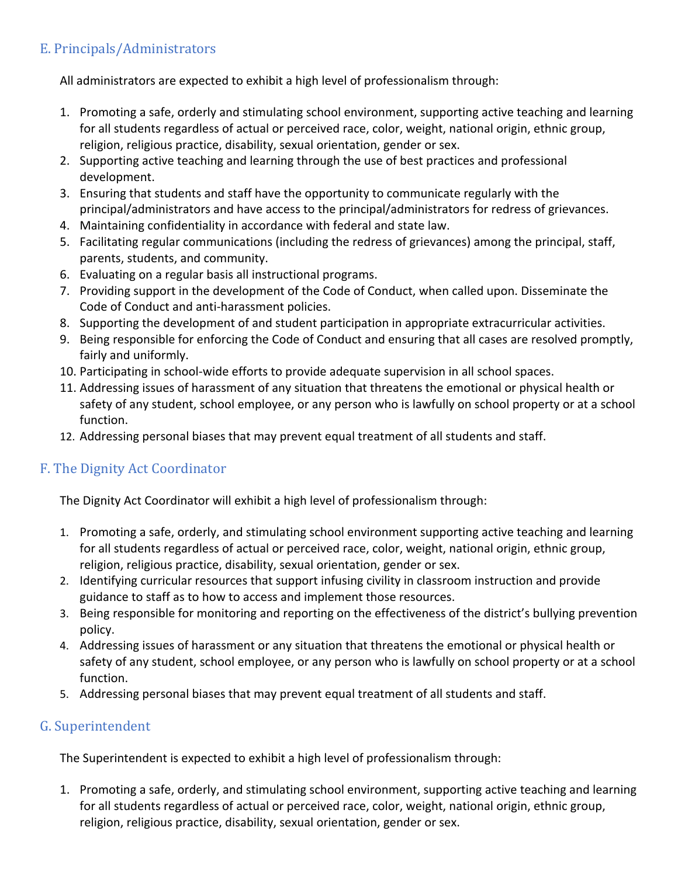## E. Principals/Administrators

All administrators are expected to exhibit a high level of professionalism through:

- 1. Promoting a safe, orderly and stimulating school environment, supporting active teaching and learning for all students regardless of actual or perceived race, color, weight, national origin, ethnic group, religion, religious practice, disability, sexual orientation, gender or sex.
- 2. Supporting active teaching and learning through the use of best practices and professional development.
- 3. Ensuring that students and staff have the opportunity to communicate regularly with the principal/administrators and have access to the principal/administrators for redress of grievances.
- 4. Maintaining confidentiality in accordance with federal and state law.
- 5. Facilitating regular communications (including the redress of grievances) among the principal, staff, parents, students, and community.
- 6. Evaluating on a regular basis all instructional programs.
- 7. Providing support in the development of the Code of Conduct, when called upon. Disseminate the Code of Conduct and anti-harassment policies.
- 8. Supporting the development of and student participation in appropriate extracurricular activities.
- 9. Being responsible for enforcing the Code of Conduct and ensuring that all cases are resolved promptly, fairly and uniformly.
- 10. Participating in school-wide efforts to provide adequate supervision in all school spaces.
- 11. Addressing issues of harassment of any situation that threatens the emotional or physical health or safety of any student, school employee, or any person who is lawfully on school property or at a school function.
- 12. Addressing personal biases that may prevent equal treatment of all students and staff.

## F. The Dignity Act Coordinator

The Dignity Act Coordinator will exhibit a high level of professionalism through:

- 1. Promoting a safe, orderly, and stimulating school environment supporting active teaching and learning for all students regardless of actual or perceived race, color, weight, national origin, ethnic group, religion, religious practice, disability, sexual orientation, gender or sex.
- 2. Identifying curricular resources that support infusing civility in classroom instruction and provide guidance to staff as to how to access and implement those resources.
- 3. Being responsible for monitoring and reporting on the effectiveness of the district's bullying prevention policy.
- 4. Addressing issues of harassment or any situation that threatens the emotional or physical health or safety of any student, school employee, or any person who is lawfully on school property or at a school function.
- 5. Addressing personal biases that may prevent equal treatment of all students and staff.

## G. Superintendent

The Superintendent is expected to exhibit a high level of professionalism through:

1. Promoting a safe, orderly, and stimulating school environment, supporting active teaching and learning for all students regardless of actual or perceived race, color, weight, national origin, ethnic group, religion, religious practice, disability, sexual orientation, gender or sex.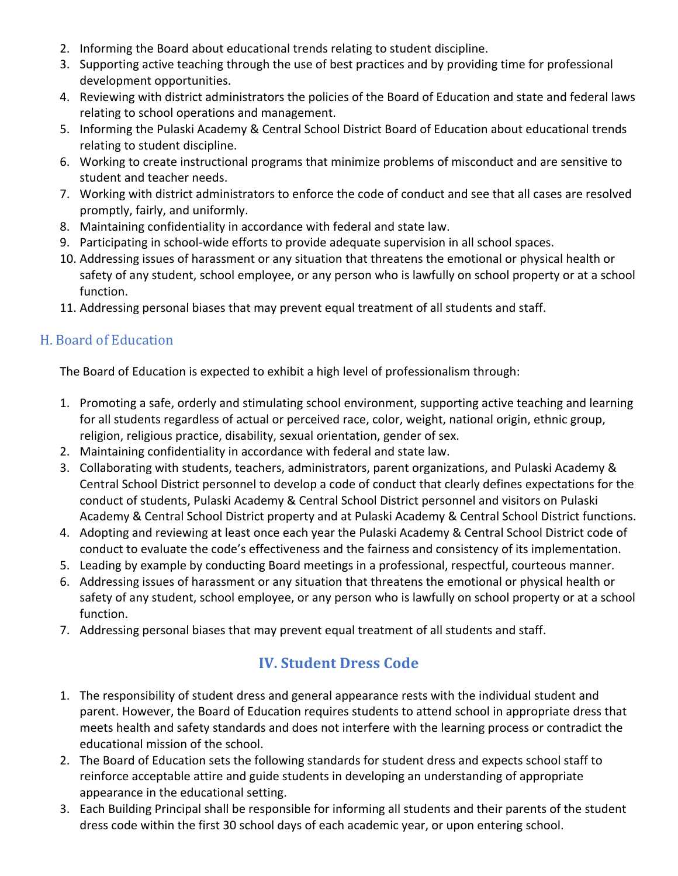- 2. Informing the Board about educational trends relating to student discipline.
- 3. Supporting active teaching through the use of best practices and by providing time for professional development opportunities.
- 4. Reviewing with district administrators the policies of the Board of Education and state and federal laws relating to school operations and management.
- 5. Informing the Pulaski Academy & Central School District Board of Education about educational trends relating to student discipline.
- 6. Working to create instructional programs that minimize problems of misconduct and are sensitive to student and teacher needs.
- 7. Working with district administrators to enforce the code of conduct and see that all cases are resolved promptly, fairly, and uniformly.
- 8. Maintaining confidentiality in accordance with federal and state law.
- 9. Participating in school-wide efforts to provide adequate supervision in all school spaces.
- 10. Addressing issues of harassment or any situation that threatens the emotional or physical health or safety of any student, school employee, or any person who is lawfully on school property or at a school function.
- 11. Addressing personal biases that may prevent equal treatment of all students and staff.

## H. Board of Education

The Board of Education is expected to exhibit a high level of professionalism through:

- 1. Promoting a safe, orderly and stimulating school environment, supporting active teaching and learning for all students regardless of actual or perceived race, color, weight, national origin, ethnic group, religion, religious practice, disability, sexual orientation, gender of sex.
- 2. Maintaining confidentiality in accordance with federal and state law.
- 3. Collaborating with students, teachers, administrators, parent organizations, and Pulaski Academy & Central School District personnel to develop a code of conduct that clearly defines expectations for the conduct of students, Pulaski Academy & Central School District personnel and visitors on Pulaski Academy & Central School District property and at Pulaski Academy & Central School District functions.
- 4. Adopting and reviewing at least once each year the Pulaski Academy & Central School District code of conduct to evaluate the code's effectiveness and the fairness and consistency of its implementation.
- 5. Leading by example by conducting Board meetings in a professional, respectful, courteous manner.
- 6. Addressing issues of harassment or any situation that threatens the emotional or physical health or safety of any student, school employee, or any person who is lawfully on school property or at a school function.
- 7. Addressing personal biases that may prevent equal treatment of all students and staff.

## **IV.** Student Dress Code

- 1. The responsibility of student dress and general appearance rests with the individual student and parent. However, the Board of Education requires students to attend school in appropriate dress that meets health and safety standards and does not interfere with the learning process or contradict the educational mission of the school.
- 2. The Board of Education sets the following standards for student dress and expects school staff to reinforce acceptable attire and guide students in developing an understanding of appropriate appearance in the educational setting.
- 3. Each Building Principal shall be responsible for informing all students and their parents of the student dress code within the first 30 school days of each academic year, or upon entering school.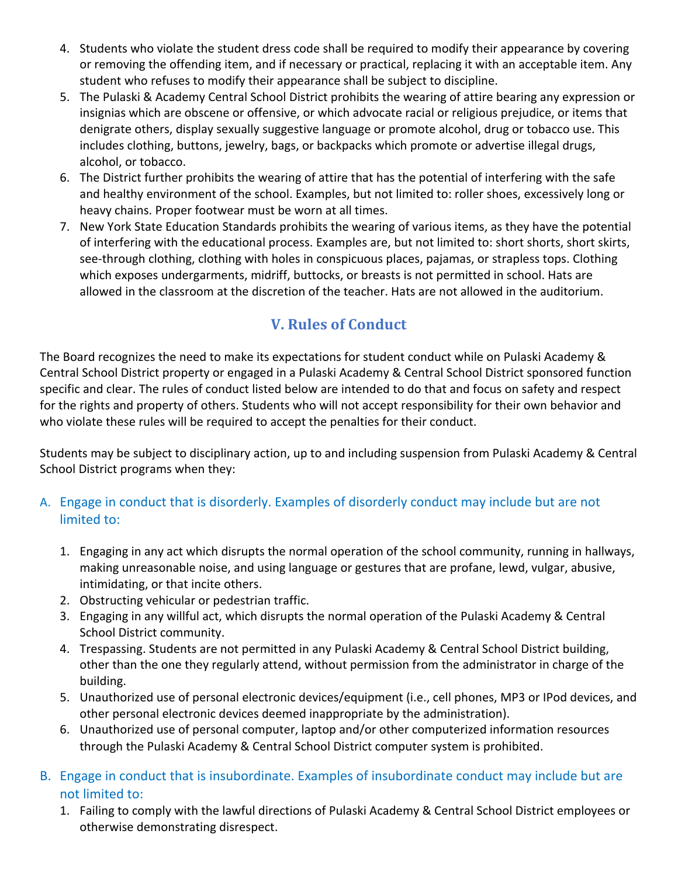- 4. Students who violate the student dress code shall be required to modify their appearance by covering or removing the offending item, and if necessary or practical, replacing it with an acceptable item. Any student who refuses to modify their appearance shall be subject to discipline.
- 5. The Pulaski & Academy Central School District prohibits the wearing of attire bearing any expression or insignias which are obscene or offensive, or which advocate racial or religious prejudice, or items that denigrate others, display sexually suggestive language or promote alcohol, drug or tobacco use. This includes clothing, buttons, jewelry, bags, or backpacks which promote or advertise illegal drugs, alcohol, or tobacco.
- 6. The District further prohibits the wearing of attire that has the potential of interfering with the safe and healthy environment of the school. Examples, but not limited to: roller shoes, excessively long or heavy chains. Proper footwear must be worn at all times.
- 7. New York State Education Standards prohibits the wearing of various items, as they have the potential of interfering with the educational process. Examples are, but not limited to: short shorts, short skirts, see-through clothing, clothing with holes in conspicuous places, pajamas, or strapless tops. Clothing which exposes undergarments, midriff, buttocks, or breasts is not permitted in school. Hats are allowed in the classroom at the discretion of the teacher. Hats are not allowed in the auditorium.

## **V. Rules of Conduct**

The Board recognizes the need to make its expectations for student conduct while on Pulaski Academy & Central School District property or engaged in a Pulaski Academy & Central School District sponsored function specific and clear. The rules of conduct listed below are intended to do that and focus on safety and respect for the rights and property of others. Students who will not accept responsibility for their own behavior and who violate these rules will be required to accept the penalties for their conduct.

Students may be subject to disciplinary action, up to and including suspension from Pulaski Academy & Central School District programs when they:

## A. Engage in conduct that is disorderly. Examples of disorderly conduct may include but are not limited to:

- 1. Engaging in any act which disrupts the normal operation of the school community, running in hallways, making unreasonable noise, and using language or gestures that are profane, lewd, vulgar, abusive, intimidating, or that incite others.
- 2. Obstructing vehicular or pedestrian traffic.
- 3. Engaging in any willful act, which disrupts the normal operation of the Pulaski Academy & Central School District community.
- 4. Trespassing. Students are not permitted in any Pulaski Academy & Central School District building, other than the one they regularly attend, without permission from the administrator in charge of the building.
- 5. Unauthorized use of personal electronic devices/equipment (i.e., cell phones, MP3 or IPod devices, and other personal electronic devices deemed inappropriate by the administration).
- 6. Unauthorized use of personal computer, laptop and/or other computerized information resources through the Pulaski Academy & Central School District computer system is prohibited.
- B. Engage in conduct that is insubordinate. Examples of insubordinate conduct may include but are not limited to:
	- 1. Failing to comply with the lawful directions of Pulaski Academy & Central School District employees or otherwise demonstrating disrespect.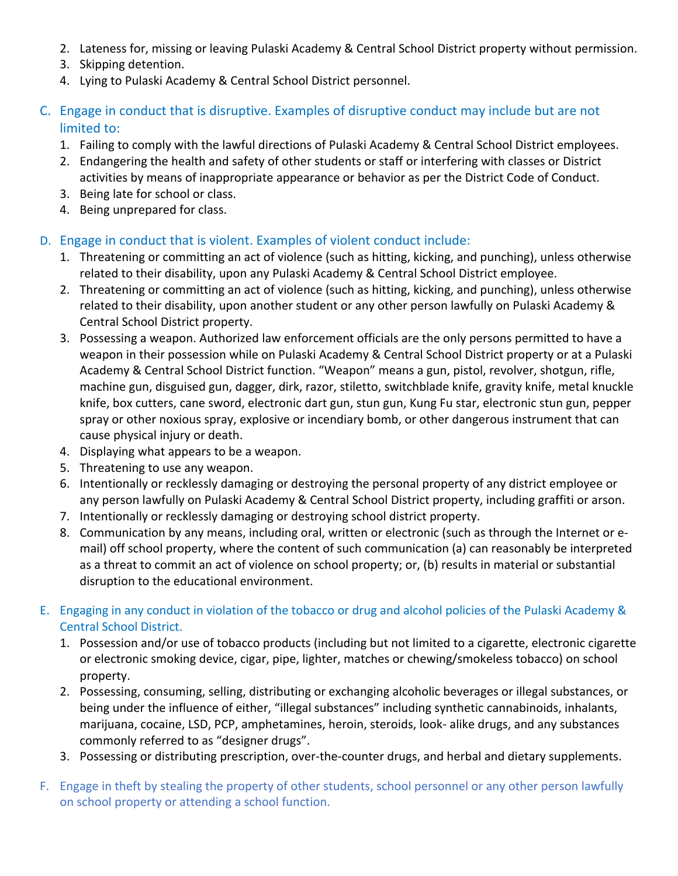- 2. Lateness for, missing or leaving Pulaski Academy & Central School District property without permission.
- 3. Skipping detention.
- 4. Lying to Pulaski Academy & Central School District personnel.
- C. Engage in conduct that is disruptive. Examples of disruptive conduct may include but are not limited to:
	- 1. Failing to comply with the lawful directions of Pulaski Academy & Central School District employees.
	- 2. Endangering the health and safety of other students or staff or interfering with classes or District activities by means of inappropriate appearance or behavior as per the District Code of Conduct.
	- 3. Being late for school or class.
	- 4. Being unprepared for class.

### D. Engage in conduct that is violent. Examples of violent conduct include:

- 1. Threatening or committing an act of violence (such as hitting, kicking, and punching), unless otherwise related to their disability, upon any Pulaski Academy & Central School District employee.
- 2. Threatening or committing an act of violence (such as hitting, kicking, and punching), unless otherwise related to their disability, upon another student or any other person lawfully on Pulaski Academy & Central School District property.
- 3. Possessing a weapon. Authorized law enforcement officials are the only persons permitted to have a weapon in their possession while on Pulaski Academy & Central School District property or at a Pulaski Academy & Central School District function. "Weapon" means a gun, pistol, revolver, shotgun, rifle, machine gun, disguised gun, dagger, dirk, razor, stiletto, switchblade knife, gravity knife, metal knuckle knife, box cutters, cane sword, electronic dart gun, stun gun, Kung Fu star, electronic stun gun, pepper spray or other noxious spray, explosive or incendiary bomb, or other dangerous instrument that can cause physical injury or death.
- 4. Displaying what appears to be a weapon.
- 5. Threatening to use any weapon.
- 6. Intentionally or recklessly damaging or destroying the personal property of any district employee or any person lawfully on Pulaski Academy & Central School District property, including graffiti or arson.
- 7. Intentionally or recklessly damaging or destroying school district property.
- 8. Communication by any means, including oral, written or electronic (such as through the Internet or email) off school property, where the content of such communication (a) can reasonably be interpreted as a threat to commit an act of violence on school property; or, (b) results in material or substantial disruption to the educational environment.
- E. Engaging in any conduct in violation of the tobacco or drug and alcohol policies of the Pulaski Academy & Central School District.
	- 1. Possession and/or use of tobacco products (including but not limited to a cigarette, electronic cigarette or electronic smoking device, cigar, pipe, lighter, matches or chewing/smokeless tobacco) on school property.
	- 2. Possessing, consuming, selling, distributing or exchanging alcoholic beverages or illegal substances, or being under the influence of either, "illegal substances" including synthetic cannabinoids, inhalants, marijuana, cocaine, LSD, PCP, amphetamines, heroin, steroids, look- alike drugs, and any substances commonly referred to as "designer drugs".
	- 3. Possessing or distributing prescription, over-the-counter drugs, and herbal and dietary supplements.
- F. Engage in theft by stealing the property of other students, school personnel or any other person lawfully on school property or attending a school function.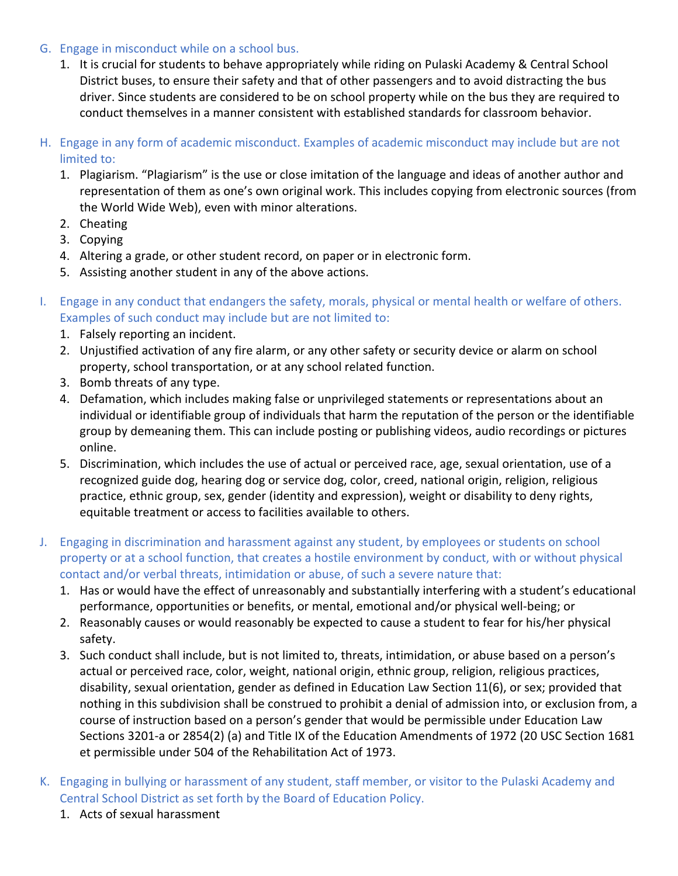#### G. Engage in misconduct while on a school bus.

- 1. It is crucial for students to behave appropriately while riding on Pulaski Academy & Central School District buses, to ensure their safety and that of other passengers and to avoid distracting the bus driver. Since students are considered to be on school property while on the bus they are required to conduct themselves in a manner consistent with established standards for classroom behavior.
- H. Engage in any form of academic misconduct. Examples of academic misconduct may include but are not limited to:
	- 1. Plagiarism. "Plagiarism" is the use or close imitation of the language and ideas of another author and representation of them as one's own original work. This includes copying from electronic sources (from the World Wide Web), even with minor alterations.
	- 2. Cheating
	- 3. Copying
	- 4. Altering a grade, or other student record, on paper or in electronic form.
	- 5. Assisting another student in any of the above actions.
- I. Engage in any conduct that endangers the safety, morals, physical or mental health or welfare of others. Examples of such conduct may include but are not limited to:
	- 1. Falsely reporting an incident.
	- 2. Unjustified activation of any fire alarm, or any other safety or security device or alarm on school property, school transportation, or at any school related function.
	- 3. Bomb threats of any type.
	- 4. Defamation, which includes making false or unprivileged statements or representations about an individual or identifiable group of individuals that harm the reputation of the person or the identifiable group by demeaning them. This can include posting or publishing videos, audio recordings or pictures online.
	- 5. Discrimination, which includes the use of actual or perceived race, age, sexual orientation, use of a recognized guide dog, hearing dog or service dog, color, creed, national origin, religion, religious practice, ethnic group, sex, gender (identity and expression), weight or disability to deny rights, equitable treatment or access to facilities available to others.
- J. Engaging in discrimination and harassment against any student, by employees or students on school property or at a school function, that creates a hostile environment by conduct, with or without physical contact and/or verbal threats, intimidation or abuse, of such a severe nature that:
	- 1. Has or would have the effect of unreasonably and substantially interfering with a student's educational performance, opportunities or benefits, or mental, emotional and/or physical well-being; or
	- 2. Reasonably causes or would reasonably be expected to cause a student to fear for his/her physical safety.
	- 3. Such conduct shall include, but is not limited to, threats, intimidation, or abuse based on a person's actual or perceived race, color, weight, national origin, ethnic group, religion, religious practices, disability, sexual orientation, gender as defined in Education Law Section 11(6), or sex; provided that nothing in this subdivision shall be construed to prohibit a denial of admission into, or exclusion from, a course of instruction based on a person's gender that would be permissible under Education Law Sections 3201-a or 2854(2) (a) and Title IX of the Education Amendments of 1972 (20 USC Section 1681 et permissible under 504 of the Rehabilitation Act of 1973.
- K. Engaging in bullying or harassment of any student, staff member, or visitor to the Pulaski Academy and Central School District as set forth by the Board of Education Policy.
	- 1. Acts of sexual harassment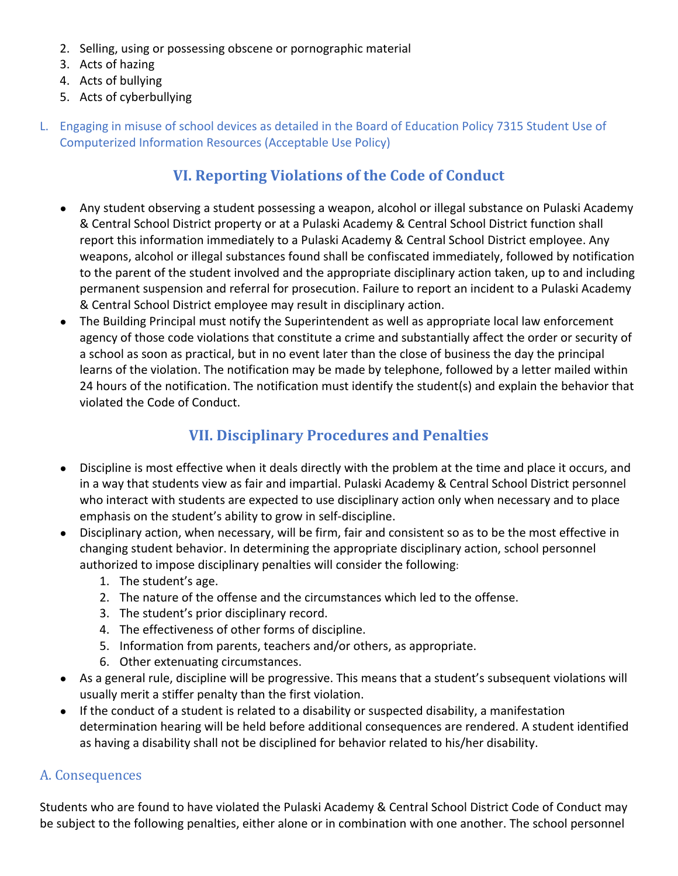- 2. Selling, using or possessing obscene or pornographic material
- 3. Acts of hazing
- 4. Acts of bullying
- 5. Acts of cyberbullying
- L. Engaging in misuse of school devices as detailed in the Board of Education Policy 7315 Student Use of Computerized Information Resources (Acceptable Use Policy)

## **VI. Reporting Violations of the Code of Conduct**

- Any student observing a student possessing a weapon, alcohol or illegal substance on Pulaski Academy & Central School District property or at a Pulaski Academy & Central School District function shall report this information immediately to a Pulaski Academy & Central School District employee. Any weapons, alcohol or illegal substances found shall be confiscated immediately, followed by notification to the parent of the student involved and the appropriate disciplinary action taken, up to and including permanent suspension and referral for prosecution. Failure to report an incident to a Pulaski Academy & Central School District employee may result in disciplinary action.
- The Building Principal must notify the Superintendent as well as appropriate local law enforcement agency of those code violations that constitute a crime and substantially affect the order or security of a school as soon as practical, but in no event later than the close of business the day the principal learns of the violation. The notification may be made by telephone, followed by a letter mailed within 24 hours of the notification. The notification must identify the student(s) and explain the behavior that violated the Code of Conduct.

## **VII. Disciplinary Procedures and Penalties**

- Discipline is most effective when it deals directly with the problem at the time and place it occurs, and in a way that students view as fair and impartial. Pulaski Academy & Central School District personnel who interact with students are expected to use disciplinary action only when necessary and to place emphasis on the student's ability to grow in self-discipline.
- Disciplinary action, when necessary, will be firm, fair and consistent so as to be the most effective in changing student behavior. In determining the appropriate disciplinary action, school personnel authorized to impose disciplinary penalties will consider the following:
	- 1. The student's age.
	- 2. The nature of the offense and the circumstances which led to the offense.
	- 3. The student's prior disciplinary record.
	- 4. The effectiveness of other forms of discipline.
	- 5. Information from parents, teachers and/or others, as appropriate.
	- 6. Other extenuating circumstances.
- As a general rule, discipline will be progressive. This means that a student's subsequent violations will usually merit a stiffer penalty than the first violation.
- If the conduct of a student is related to a disability or suspected disability, a manifestation determination hearing will be held before additional consequences are rendered. A student identified as having a disability shall not be disciplined for behavior related to his/her disability.

### A. Consequences

Students who are found to have violated the Pulaski Academy & Central School District Code of Conduct may be subject to the following penalties, either alone or in combination with one another. The school personnel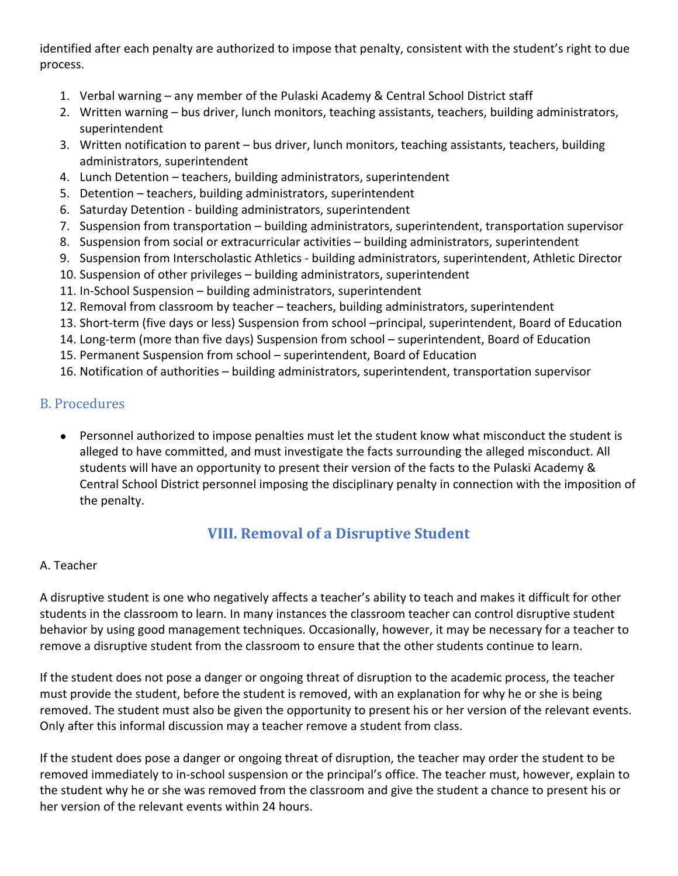identified after each penalty are authorized to impose that penalty, consistent with the student's right to due process.

- 1. Verbal warning any member of the Pulaski Academy & Central School District staff
- 2. Written warning bus driver, lunch monitors, teaching assistants, teachers, building administrators, superintendent
- 3. Written notification to parent bus driver, lunch monitors, teaching assistants, teachers, building administrators, superintendent
- 4. Lunch Detention teachers, building administrators, superintendent
- 5. Detention teachers, building administrators, superintendent
- 6. Saturday Detention building administrators, superintendent
- 7. Suspension from transportation building administrators, superintendent, transportation supervisor
- 8. Suspension from social or extracurricular activities building administrators, superintendent
- 9. Suspension from Interscholastic Athletics building administrators, superintendent, Athletic Director
- 10. Suspension of other privileges building administrators, superintendent
- 11. In-School Suspension building administrators, superintendent
- 12. Removal from classroom by teacher teachers, building administrators, superintendent
- 13. Short-term (five days or less) Suspension from school –principal, superintendent, Board of Education
- 14. Long-term (more than five days) Suspension from school superintendent, Board of Education
- 15. Permanent Suspension from school superintendent, Board of Education
- 16. Notification of authorities building administrators, superintendent, transportation supervisor

## **B.** Procedures

● Personnel authorized to impose penalties must let the student know what misconduct the student is alleged to have committed, and must investigate the facts surrounding the alleged misconduct. All students will have an opportunity to present their version of the facts to the Pulaski Academy & Central School District personnel imposing the disciplinary penalty in connection with the imposition of the penalty.

## **VIII. Removal of a Disruptive Student**

### A. Teacher

A disruptive student is one who negatively affects a teacher's ability to teach and makes it difficult for other students in the classroom to learn. In many instances the classroom teacher can control disruptive student behavior by using good management techniques. Occasionally, however, it may be necessary for a teacher to remove a disruptive student from the classroom to ensure that the other students continue to learn.

If the student does not pose a danger or ongoing threat of disruption to the academic process, the teacher must provide the student, before the student is removed, with an explanation for why he or she is being removed. The student must also be given the opportunity to present his or her version of the relevant events. Only after this informal discussion may a teacher remove a student from class.

If the student does pose a danger or ongoing threat of disruption, the teacher may order the student to be removed immediately to in-school suspension or the principal's office. The teacher must, however, explain to the student why he or she was removed from the classroom and give the student a chance to present his or her version of the relevant events within 24 hours.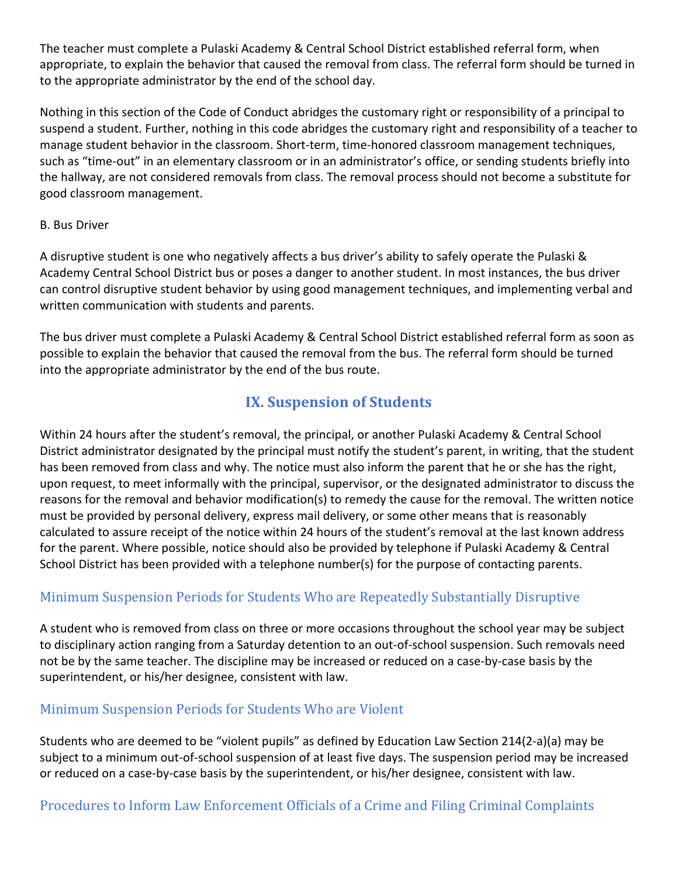The teacher must complete a Pulaski Academy & Central School District established referral form, when appropriate, to explain the behavior that caused the removal from class. The referral form should be turned in to the appropriate administrator by the end of the school day.

Nothing in this section of the Code of Conduct abridges the customary right or responsibility of a principal to suspend a student. Further, nothing in this code abridges the customary right and responsibility of a teacher to manage student behavior in the classroom. Short-term, time-honored classroom management techniques, such as "time-out" in an elementary classroom or in an administrator's office, or sending students briefly into the hallway, are not considered removals from class. The removal process should not become a substitute for good classroom management.

#### B. Bus Driver

A disruptive student is one who negatively affects a bus driver's ability to safely operate the Pulaski & Academy Central School District bus or poses a danger to another student. In most instances, the bus driver can control disruptive student behavior by using good management techniques, and implementing verbal and written communication with students and parents.

The bus driver must complete a Pulaski Academy & Central School District established referral form as soon as possible to explain the behavior that caused the removal from the bus. The referral form should be turned into the appropriate administrator by the end of the bus route.

## **IX. Suspension of Students**

Within 24 hours after the student's removal, the principal, or another Pulaski Academy & Central School District administrator designated by the principal must notify the student's parent, in writing, that the student has been removed from class and why. The notice must also inform the parent that he or she has the right, upon request, to meet informally with the principal, supervisor, or the designated administrator to discuss the reasons for the removal and behavior modification(s) to remedy the cause for the removal. The written notice must be provided by personal delivery, express mail delivery, or some other means that is reasonably calculated to assure receipt of the notice within 24 hours of the student's removal at the last known address for the parent. Where possible, notice should also be provided by telephone if Pulaski Academy & Central School District has been provided with a telephone number(s) for the purpose of contacting parents.

## Minimum Suspension Periods for Students Who are Repeatedly Substantially Disruptive

A student who is removed from class on three or more occasions throughout the school year may be subject to disciplinary action ranging from a Saturday detention to an out-of-school suspension. Such removals need not be by the same teacher. The discipline may be increased or reduced on a case-by-case basis by the superintendent, or his/her designee, consistent with law.

### Minimum Suspension Periods for Students Who are Violent

Students who are deemed to be "violent pupils" as defined by Education Law Section 214(2-a)(a) may be subject to a minimum out-of-school suspension of at least five days. The suspension period may be increased or reduced on a case-by-case basis by the superintendent, or his/her designee, consistent with law.

Procedures to Inform Law Enforcement Officials of a Crime and Filing Criminal Complaints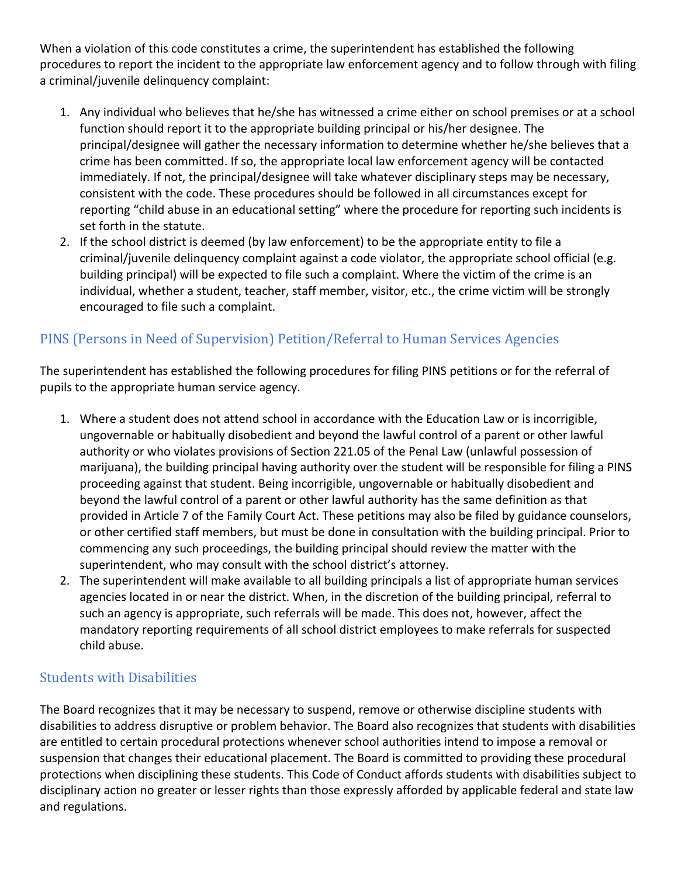When a violation of this code constitutes a crime, the superintendent has established the following procedures to report the incident to the appropriate law enforcement agency and to follow through with filing a criminal/juvenile delinquency complaint:

- 1. Any individual who believes that he/she has witnessed a crime either on school premises or at a school function should report it to the appropriate building principal or his/her designee. The principal/designee will gather the necessary information to determine whether he/she believes that a crime has been committed. If so, the appropriate local law enforcement agency will be contacted immediately. If not, the principal/designee will take whatever disciplinary steps may be necessary, consistent with the code. These procedures should be followed in all circumstances except for reporting "child abuse in an educational setting" where the procedure for reporting such incidents is set forth in the statute.
- 2. If the school district is deemed (by law enforcement) to be the appropriate entity to file a criminal/juvenile delinquency complaint against a code violator, the appropriate school official (e.g. building principal) will be expected to file such a complaint. Where the victim of the crime is an individual, whether a student, teacher, staff member, visitor, etc., the crime victim will be strongly encouraged to file such a complaint.

## PINS (Persons in Need of Supervision) Petition/Referral to Human Services Agencies

The superintendent has established the following procedures for filing PINS petitions or for the referral of pupils to the appropriate human service agency.

- 1. Where a student does not attend school in accordance with the Education Law or is incorrigible, ungovernable or habitually disobedient and beyond the lawful control of a parent or other lawful authority or who violates provisions of Section 221.05 of the Penal Law (unlawful possession of marijuana), the building principal having authority over the student will be responsible for filing a PINS proceeding against that student. Being incorrigible, ungovernable or habitually disobedient and beyond the lawful control of a parent or other lawful authority has the same definition as that provided in Article 7 of the Family Court Act. These petitions may also be filed by guidance counselors, or other certified staff members, but must be done in consultation with the building principal. Prior to commencing any such proceedings, the building principal should review the matter with the superintendent, who may consult with the school district's attorney.
- 2. The superintendent will make available to all building principals a list of appropriate human services agencies located in or near the district. When, in the discretion of the building principal, referral to such an agency is appropriate, such referrals will be made. This does not, however, affect the mandatory reporting requirements of all school district employees to make referrals for suspected child abuse.

## **Students with Disabilities**

The Board recognizes that it may be necessary to suspend, remove or otherwise discipline students with disabilities to address disruptive or problem behavior. The Board also recognizes that students with disabilities are entitled to certain procedural protections whenever school authorities intend to impose a removal or suspension that changes their educational placement. The Board is committed to providing these procedural protections when disciplining these students. This Code of Conduct affords students with disabilities subject to disciplinary action no greater or lesser rights than those expressly afforded by applicable federal and state law and regulations.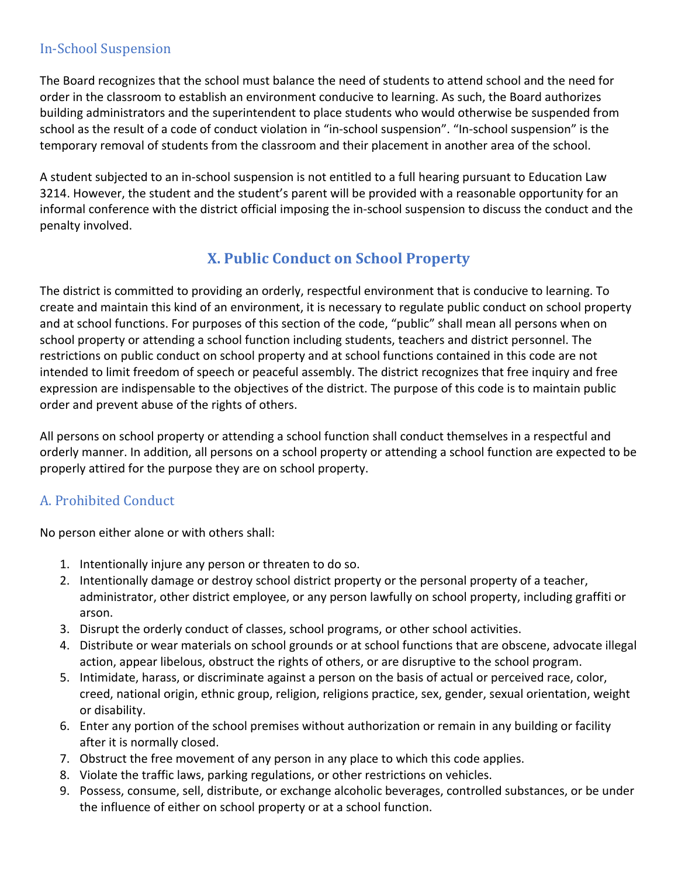### **In-School Suspension**

The Board recognizes that the school must balance the need of students to attend school and the need for order in the classroom to establish an environment conducive to learning. As such, the Board authorizes building administrators and the superintendent to place students who would otherwise be suspended from school as the result of a code of conduct violation in "in-school suspension". "In-school suspension" is the temporary removal of students from the classroom and their placement in another area of the school.

A student subjected to an in-school suspension is not entitled to a full hearing pursuant to Education Law 3214. However, the student and the student's parent will be provided with a reasonable opportunity for an informal conference with the district official imposing the in-school suspension to discuss the conduct and the penalty involved.

## **X. Public Conduct on School Property**

The district is committed to providing an orderly, respectful environment that is conducive to learning. To create and maintain this kind of an environment, it is necessary to regulate public conduct on school property and at school functions. For purposes of this section of the code, "public" shall mean all persons when on school property or attending a school function including students, teachers and district personnel. The restrictions on public conduct on school property and at school functions contained in this code are not intended to limit freedom of speech or peaceful assembly. The district recognizes that free inquiry and free expression are indispensable to the objectives of the district. The purpose of this code is to maintain public order and prevent abuse of the rights of others.

All persons on school property or attending a school function shall conduct themselves in a respectful and orderly manner. In addition, all persons on a school property or attending a school function are expected to be properly attired for the purpose they are on school property.

## A. Prohibited Conduct

No person either alone or with others shall:

- 1. Intentionally injure any person or threaten to do so.
- 2. Intentionally damage or destroy school district property or the personal property of a teacher, administrator, other district employee, or any person lawfully on school property, including graffiti or arson.
- 3. Disrupt the orderly conduct of classes, school programs, or other school activities.
- 4. Distribute or wear materials on school grounds or at school functions that are obscene, advocate illegal action, appear libelous, obstruct the rights of others, or are disruptive to the school program.
- 5. Intimidate, harass, or discriminate against a person on the basis of actual or perceived race, color, creed, national origin, ethnic group, religion, religions practice, sex, gender, sexual orientation, weight or disability.
- 6. Enter any portion of the school premises without authorization or remain in any building or facility after it is normally closed.
- 7. Obstruct the free movement of any person in any place to which this code applies.
- 8. Violate the traffic laws, parking regulations, or other restrictions on vehicles.
- 9. Possess, consume, sell, distribute, or exchange alcoholic beverages, controlled substances, or be under the influence of either on school property or at a school function.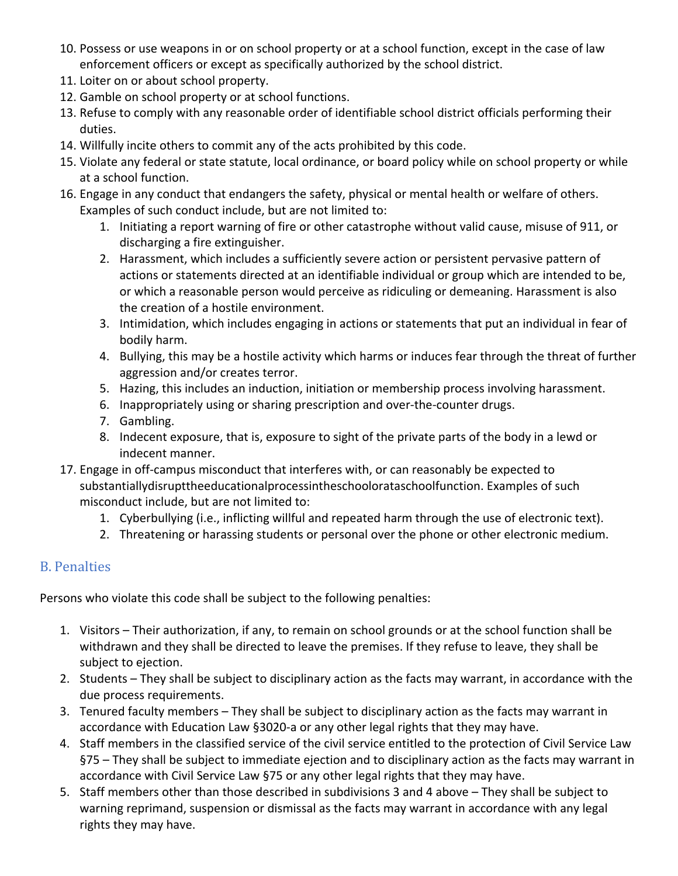- 10. Possess or use weapons in or on school property or at a school function, except in the case of law enforcement officers or except as specifically authorized by the school district.
- 11. Loiter on or about school property.
- 12. Gamble on school property or at school functions.
- 13. Refuse to comply with any reasonable order of identifiable school district officials performing their duties.
- 14. Willfully incite others to commit any of the acts prohibited by this code.
- 15. Violate any federal or state statute, local ordinance, or board policy while on school property or while at a school function.
- 16. Engage in any conduct that endangers the safety, physical or mental health or welfare of others. Examples of such conduct include, but are not limited to:
	- 1. Initiating a report warning of fire or other catastrophe without valid cause, misuse of 911, or discharging a fire extinguisher.
	- 2. Harassment, which includes a sufficiently severe action or persistent pervasive pattern of actions or statements directed at an identifiable individual or group which are intended to be, or which a reasonable person would perceive as ridiculing or demeaning. Harassment is also the creation of a hostile environment.
	- 3. Intimidation, which includes engaging in actions or statements that put an individual in fear of bodily harm.
	- 4. Bullying, this may be a hostile activity which harms or induces fear through the threat of further aggression and/or creates terror.
	- 5. Hazing, this includes an induction, initiation or membership process involving harassment.
	- 6. Inappropriately using or sharing prescription and over-the-counter drugs.
	- 7. Gambling.
	- 8. Indecent exposure, that is, exposure to sight of the private parts of the body in a lewd or indecent manner.
- 17. Engage in off-campus misconduct that interferes with, or can reasonably be expected to substantiallydisrupttheeducationalprocessintheschoolorataschoolfunction. Examples of such misconduct include, but are not limited to:
	- 1. Cyberbullying (i.e., inflicting willful and repeated harm through the use of electronic text).
	- 2. Threatening or harassing students or personal over the phone or other electronic medium.

## B. Penalties

Persons who violate this code shall be subject to the following penalties:

- 1. Visitors Their authorization, if any, to remain on school grounds or at the school function shall be withdrawn and they shall be directed to leave the premises. If they refuse to leave, they shall be subject to ejection.
- 2. Students They shall be subject to disciplinary action as the facts may warrant, in accordance with the due process requirements.
- 3. Tenured faculty members They shall be subject to disciplinary action as the facts may warrant in accordance with Education Law §3020-a or any other legal rights that they may have.
- 4. Staff members in the classified service of the civil service entitled to the protection of Civil Service Law §75 – They shall be subject to immediate ejection and to disciplinary action as the facts may warrant in accordance with Civil Service Law §75 or any other legal rights that they may have.
- 5. Staff members other than those described in subdivisions 3 and 4 above They shall be subject to warning reprimand, suspension or dismissal as the facts may warrant in accordance with any legal rights they may have.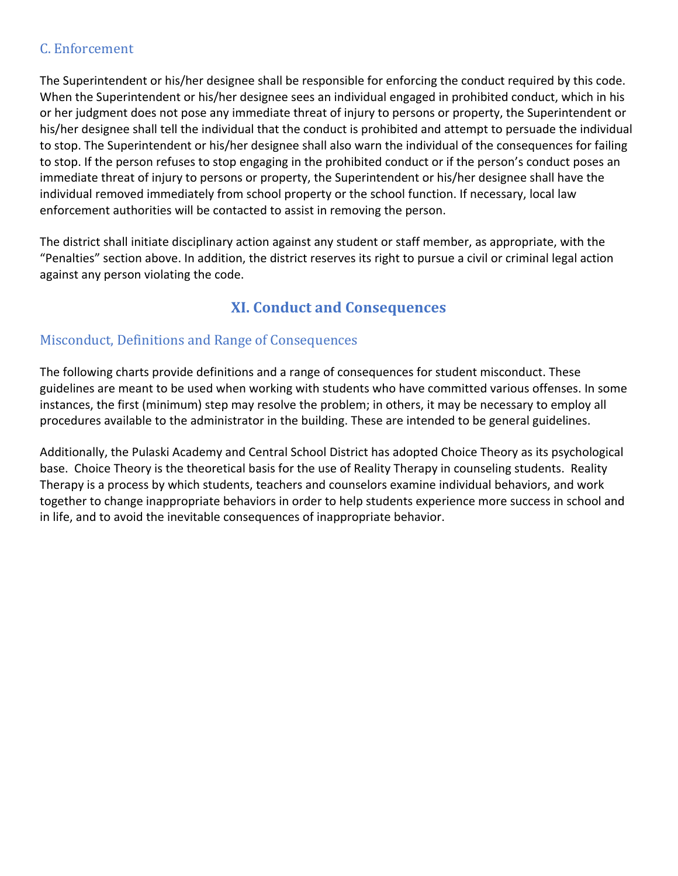### C. Enforcement

The Superintendent or his/her designee shall be responsible for enforcing the conduct required by this code. When the Superintendent or his/her designee sees an individual engaged in prohibited conduct, which in his or her judgment does not pose any immediate threat of injury to persons or property, the Superintendent or his/her designee shall tell the individual that the conduct is prohibited and attempt to persuade the individual to stop. The Superintendent or his/her designee shall also warn the individual of the consequences for failing to stop. If the person refuses to stop engaging in the prohibited conduct or if the person's conduct poses an immediate threat of injury to persons or property, the Superintendent or his/her designee shall have the individual removed immediately from school property or the school function. If necessary, local law enforcement authorities will be contacted to assist in removing the person.

The district shall initiate disciplinary action against any student or staff member, as appropriate, with the "Penalties" section above. In addition, the district reserves its right to pursue a civil or criminal legal action against any person violating the code.

## **XI. Conduct and Consequences**

## Misconduct, Definitions and Range of Consequences

The following charts provide definitions and a range of consequences for student misconduct. These guidelines are meant to be used when working with students who have committed various offenses. In some instances, the first (minimum) step may resolve the problem; in others, it may be necessary to employ all procedures available to the administrator in the building. These are intended to be general guidelines.

Additionally, the Pulaski Academy and Central School District has adopted Choice Theory as its psychological base. Choice Theory is the theoretical basis for the use of Reality Therapy in counseling students. Reality Therapy is a process by which students, teachers and counselors examine individual behaviors, and work together to change inappropriate behaviors in order to help students experience more success in school and in life, and to avoid the inevitable consequences of inappropriate behavior.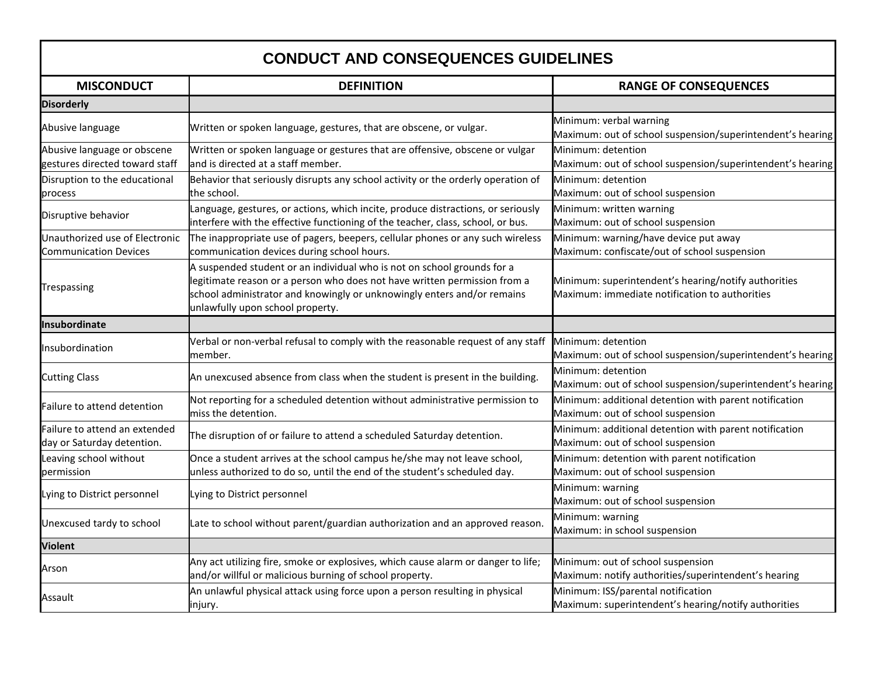## **CONDUCT AND CONSEQUENCES GUIDELINES**

| <b>MISCONDUCT</b>                                              | <b>DEFINITION</b>                                                                                                                                                                                                                                                   | <b>RANGE OF CONSEQUENCES</b>                                                                           |
|----------------------------------------------------------------|---------------------------------------------------------------------------------------------------------------------------------------------------------------------------------------------------------------------------------------------------------------------|--------------------------------------------------------------------------------------------------------|
| <b>Disorderly</b>                                              |                                                                                                                                                                                                                                                                     |                                                                                                        |
| Abusive language                                               | Written or spoken language, gestures, that are obscene, or vulgar.                                                                                                                                                                                                  | Minimum: verbal warning<br>Maximum: out of school suspension/superintendent's hearing                  |
| Abusive language or obscene<br>gestures directed toward staff  | Written or spoken language or gestures that are offensive, obscene or vulgar<br>and is directed at a staff member.                                                                                                                                                  | Minimum: detention<br>Maximum: out of school suspension/superintendent's hearing                       |
| Disruption to the educational<br>process                       | Behavior that seriously disrupts any school activity or the orderly operation of<br>the school.                                                                                                                                                                     | Minimum: detention<br>Maximum: out of school suspension                                                |
| Disruptive behavior                                            | Language, gestures, or actions, which incite, produce distractions, or seriously<br>interfere with the effective functioning of the teacher, class, school, or bus.                                                                                                 | Minimum: written warning<br>Maximum: out of school suspension                                          |
| Unauthorized use of Electronic<br><b>Communication Devices</b> | The inappropriate use of pagers, beepers, cellular phones or any such wireless<br>communication devices during school hours.                                                                                                                                        | Minimum: warning/have device put away<br>Maximum: confiscate/out of school suspension                  |
| Trespassing                                                    | A suspended student or an individual who is not on school grounds for a<br>legitimate reason or a person who does not have written permission from a<br>school administrator and knowingly or unknowingly enters and/or remains<br>unlawfully upon school property. | Minimum: superintendent's hearing/notify authorities<br>Maximum: immediate notification to authorities |
| Insubordinate                                                  |                                                                                                                                                                                                                                                                     |                                                                                                        |
| Insubordination                                                | Verbal or non-verbal refusal to comply with the reasonable request of any staff<br>member.                                                                                                                                                                          | Minimum: detention<br>Maximum: out of school suspension/superintendent's hearing                       |
| <b>Cutting Class</b>                                           | An unexcused absence from class when the student is present in the building.                                                                                                                                                                                        | Minimum: detention<br>Maximum: out of school suspension/superintendent's hearing                       |
| Failure to attend detention                                    | Not reporting for a scheduled detention without administrative permission to<br>miss the detention.                                                                                                                                                                 | Minimum: additional detention with parent notification<br>Maximum: out of school suspension            |
| Failure to attend an extended<br>day or Saturday detention.    | The disruption of or failure to attend a scheduled Saturday detention.                                                                                                                                                                                              | Minimum: additional detention with parent notification<br>Maximum: out of school suspension            |
| Leaving school without<br>permission                           | Once a student arrives at the school campus he/she may not leave school,<br>unless authorized to do so, until the end of the student's scheduled day.                                                                                                               | Minimum: detention with parent notification<br>Maximum: out of school suspension                       |
| Lying to District personnel                                    | Lying to District personnel                                                                                                                                                                                                                                         | Minimum: warning<br>Maximum: out of school suspension                                                  |
| Unexcused tardy to school                                      | Late to school without parent/guardian authorization and an approved reason.                                                                                                                                                                                        | Minimum: warning<br>Maximum: in school suspension                                                      |
| <b>Violent</b>                                                 |                                                                                                                                                                                                                                                                     |                                                                                                        |
| Arson                                                          | Any act utilizing fire, smoke or explosives, which cause alarm or danger to life;<br>and/or willful or malicious burning of school property.                                                                                                                        | Minimum: out of school suspension<br>Maximum: notify authorities/superintendent's hearing              |
| Assault                                                        | An unlawful physical attack using force upon a person resulting in physical<br>injury.                                                                                                                                                                              | Minimum: ISS/parental notification<br>Maximum: superintendent's hearing/notify authorities             |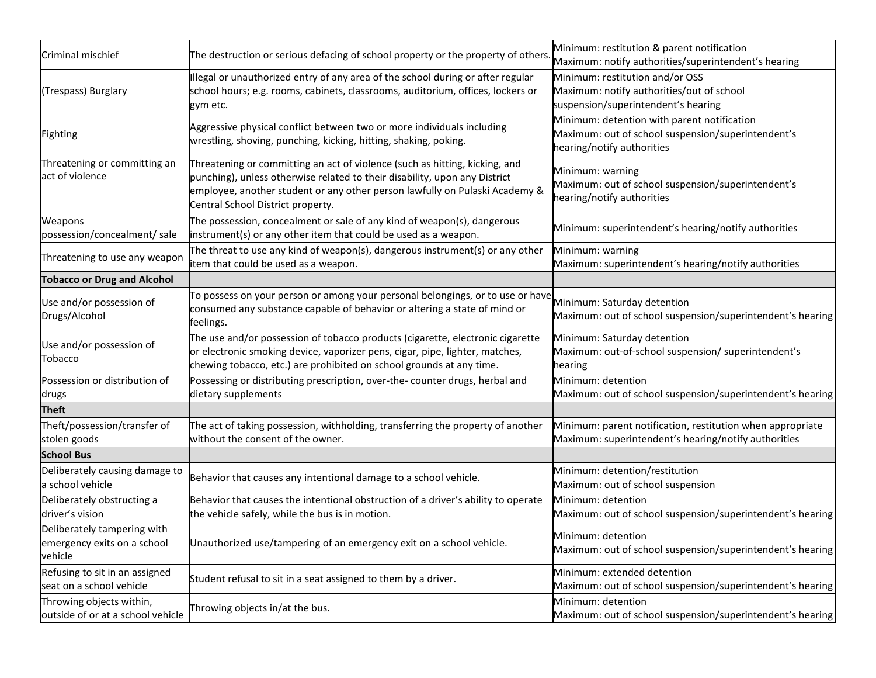| Criminal mischief                                                     | The destruction or serious defacing of school property or the property of others.                                                                                                                                                                                             | Minimum: restitution & parent notification<br>Maximum: notify authorities/superintendent's hearing                              |
|-----------------------------------------------------------------------|-------------------------------------------------------------------------------------------------------------------------------------------------------------------------------------------------------------------------------------------------------------------------------|---------------------------------------------------------------------------------------------------------------------------------|
| (Trespass) Burglary                                                   | Illegal or unauthorized entry of any area of the school during or after regular<br>school hours; e.g. rooms, cabinets, classrooms, auditorium, offices, lockers or<br>gym etc.                                                                                                | Minimum: restitution and/or OSS<br>Maximum: notify authorities/out of school<br>suspension/superintendent's hearing             |
| <b>Fighting</b>                                                       | Aggressive physical conflict between two or more individuals including<br>wrestling, shoving, punching, kicking, hitting, shaking, poking.                                                                                                                                    | Minimum: detention with parent notification<br>Maximum: out of school suspension/superintendent's<br>hearing/notify authorities |
| Threatening or committing an<br>act of violence                       | Threatening or committing an act of violence (such as hitting, kicking, and<br>punching), unless otherwise related to their disability, upon any District<br>employee, another student or any other person lawfully on Pulaski Academy &<br>Central School District property. | Minimum: warning<br>Maximum: out of school suspension/superintendent's<br>hearing/notify authorities                            |
| Weapons<br>possession/concealment/ sale                               | The possession, concealment or sale of any kind of weapon(s), dangerous<br>instrument(s) or any other item that could be used as a weapon.                                                                                                                                    | Minimum: superintendent's hearing/notify authorities                                                                            |
| Threatening to use any weapon                                         | The threat to use any kind of weapon(s), dangerous instrument(s) or any other<br>item that could be used as a weapon.                                                                                                                                                         | Minimum: warning<br>Maximum: superintendent's hearing/notify authorities                                                        |
| <b>Tobacco or Drug and Alcohol</b>                                    |                                                                                                                                                                                                                                                                               |                                                                                                                                 |
| Use and/or possession of<br>Drugs/Alcohol                             | To possess on your person or among your personal belongings, or to use or have<br>consumed any substance capable of behavior or altering a state of mind or<br>feelings.                                                                                                      | Minimum: Saturday detention<br>Maximum: out of school suspension/superintendent's hearing                                       |
| Use and/or possession of<br>Tobacco                                   | The use and/or possession of tobacco products (cigarette, electronic cigarette<br>or electronic smoking device, vaporizer pens, cigar, pipe, lighter, matches,<br>chewing tobacco, etc.) are prohibited on school grounds at any time.                                        | Minimum: Saturday detention<br>Maximum: out-of-school suspension/ superintendent's<br>hearing                                   |
| Possession or distribution of<br>drugs                                | Possessing or distributing prescription, over-the- counter drugs, herbal and<br>dietary supplements                                                                                                                                                                           | Minimum: detention<br>Maximum: out of school suspension/superintendent's hearing                                                |
| <b>Theft</b>                                                          |                                                                                                                                                                                                                                                                               |                                                                                                                                 |
| Theft/possession/transfer of<br>stolen goods                          | The act of taking possession, withholding, transferring the property of another<br>without the consent of the owner.                                                                                                                                                          | Minimum: parent notification, restitution when appropriate<br>Maximum: superintendent's hearing/notify authorities              |
| <b>School Bus</b>                                                     |                                                                                                                                                                                                                                                                               |                                                                                                                                 |
| Deliberately causing damage to<br>a school vehicle                    | Behavior that causes any intentional damage to a school vehicle.                                                                                                                                                                                                              | Minimum: detention/restitution<br>Maximum: out of school suspension                                                             |
| Deliberately obstructing a<br>driver's vision                         | Behavior that causes the intentional obstruction of a driver's ability to operate<br>the vehicle safely, while the bus is in motion.                                                                                                                                          | Minimum: detention<br>Maximum: out of school suspension/superintendent's hearing                                                |
| Deliberately tampering with<br>emergency exits on a school<br>vehicle | Unauthorized use/tampering of an emergency exit on a school vehicle.                                                                                                                                                                                                          | Minimum: detention<br>Maximum: out of school suspension/superintendent's hearing                                                |
| Refusing to sit in an assigned<br>seat on a school vehicle            | Student refusal to sit in a seat assigned to them by a driver.                                                                                                                                                                                                                | Minimum: extended detention<br>Maximum: out of school suspension/superintendent's hearing                                       |
| Throwing objects within,<br>outside of or at a school vehicle         | Throwing objects in/at the bus.                                                                                                                                                                                                                                               | Minimum: detention<br>Maximum: out of school suspension/superintendent's hearing                                                |